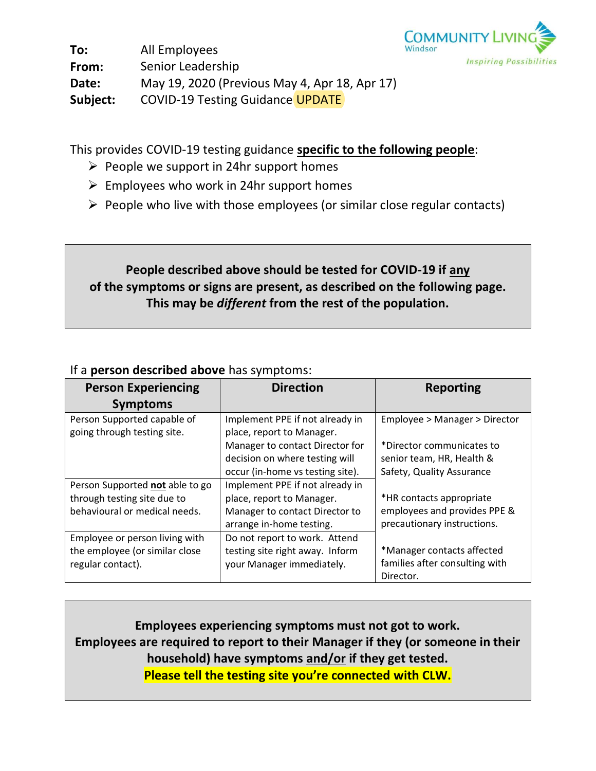

**To: From: Date: Subject:** All Employees Senior Leadership May 19, 2020 (Previous May 4, Apr 18, Apr 17) COVID-19 Testing Guidance UPDATE

This provides COVID-19 testing guidance **specific to the following people**:

- $\triangleright$  People we support in 24hr support homes
- $\triangleright$  Employees who work in 24hr support homes
- $\triangleright$  People who live with those employees (or similar close regular contacts)

# **People described above should be tested for COVID-19 if any of the symptoms or signs are present, as described on the following page. This may be** *different* **from the rest of the population.**

## If a **person described above** has symptoms:

| <b>Person Experiencing</b><br><b>Symptoms</b> | <b>Direction</b>                 | <b>Reporting</b>               |
|-----------------------------------------------|----------------------------------|--------------------------------|
|                                               |                                  |                                |
| Person Supported capable of                   | Implement PPE if not already in  | Employee > Manager > Director  |
| going through testing site.                   | place, report to Manager.        |                                |
|                                               | Manager to contact Director for  | *Director communicates to      |
|                                               | decision on where testing will   | senior team, HR, Health &      |
|                                               | occur (in-home vs testing site). | Safety, Quality Assurance      |
| Person Supported not able to go               | Implement PPE if not already in  |                                |
| through testing site due to                   | place, report to Manager.        | *HR contacts appropriate       |
| behavioural or medical needs.                 | Manager to contact Director to   | employees and provides PPE &   |
|                                               | arrange in-home testing.         | precautionary instructions.    |
| Employee or person living with                | Do not report to work. Attend    |                                |
| the employee (or similar close                | testing site right away. Inform  | *Manager contacts affected     |
| regular contact).                             | your Manager immediately.        | families after consulting with |
|                                               |                                  | Director.                      |

**Employees experiencing symptoms must not got to work. Employees are required to report to their Manager if they (or someone in their household) have symptoms and/or if they get tested. Please tell the testing site you're connected with CLW.**